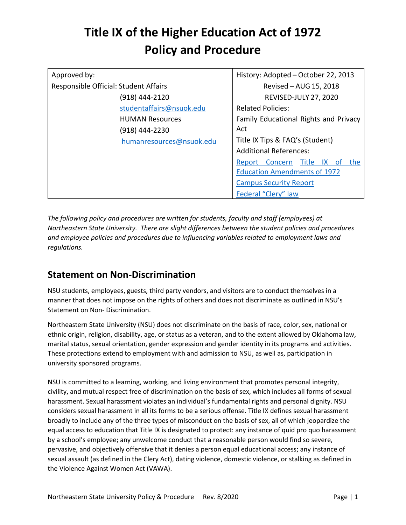| Approved by:                          | History: Adopted - October 22, 2013       |
|---------------------------------------|-------------------------------------------|
| Responsible Official: Student Affairs | Revised - AUG 15, 2018                    |
| (918) 444-2120                        | <b>REVISED-JULY 27, 2020</b>              |
| studentaffairs@nsuok.edu              | <b>Related Policies:</b>                  |
| <b>HUMAN Resources</b>                | Family Educational Rights and Privacy     |
| (918) 444-2230                        | Act                                       |
| humanresources@nsuok.edu              | Title IX Tips & FAQ's (Student)           |
|                                       | <b>Additional References:</b>             |
|                                       | Title IX<br>Report Concern<br>the<br>- of |
|                                       | <b>Education Amendments of 1972</b>       |
|                                       | <b>Campus Security Report</b>             |
|                                       | Federal "Clery" law                       |

*The following policy and procedures are written for students, faculty and staff (employees) at Northeastern State University. There are slight differences between the student policies and procedures and employee policies and procedures due to influencing variables related to employment laws and regulations.* 

### **Statement on Non-Discrimination**

NSU students, employees, guests, third party vendors, and visitors are to conduct themselves in a manner that does not impose on the rights of others and does not discriminate as outlined in NSU's Statement on Non- Discrimination.

Northeastern State University (NSU) does not discriminate on the basis of race, color, sex, national or ethnic origin, religion, disability, age, or status as a veteran, and to the extent allowed by Oklahoma law, marital status, sexual orientation, gender expression and gender identity in its programs and activities. These protections extend to employment with and admission to NSU, as well as, participation in university sponsored programs.

NSU is committed to a learning, working, and living environment that promotes personal integrity, civility, and mutual respect free of discrimination on the basis of sex, which includes all forms of sexual harassment. Sexual harassment violates an individual's fundamental rights and personal dignity. NSU considers sexual harassment in all its forms to be a serious offense. Title IX defines sexual harassment broadly to include any of the three types of misconduct on the basis of sex, all of which jeopardize the equal access to education that Title IX is designated to protect: any instance of quid pro quo harassment by a school's employee; any unwelcome conduct that a reasonable person would find so severe, pervasive, and objectively offensive that it denies a person equal educational access; any instance of sexual assault (as defined in the Clery Act), dating violence, domestic violence, or stalking as defined in the Violence Against Women Act (VAWA).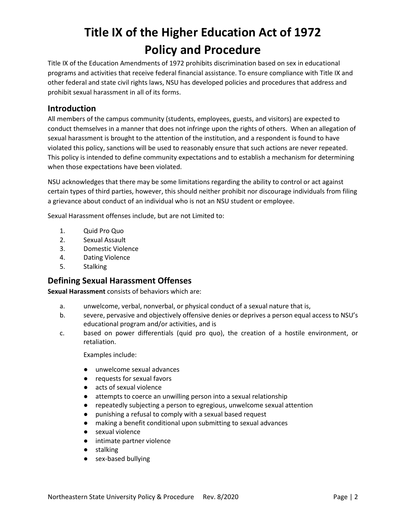Title IX of the Education Amendments of 1972 prohibits discrimination based on sex in educational programs and activities that receive federal financial assistance. To ensure compliance with Title IX and other federal and state civil rights laws, NSU has developed policies and procedures that address and prohibit sexual harassment in all of its forms.

### **Introduction**

All members of the campus community (students, employees, guests, and visitors) are expected to conduct themselves in a manner that does not infringe upon the rights of others. When an allegation of sexual harassment is brought to the attention of the institution, and a respondent is found to have violated this policy, sanctions will be used to reasonably ensure that such actions are never repeated. This policy is intended to define community expectations and to establish a mechanism for determining when those expectations have been violated.

NSU acknowledges that there may be some limitations regarding the ability to control or act against certain types of third parties, however, this should neither prohibit nor discourage individuals from filing a grievance about conduct of an individual who is not an NSU student or employee.

Sexual Harassment offenses include, but are not Limited to:

- 1. Quid Pro Quo
- 2. Sexual Assault
- 3. Domestic Violence
- 4. Dating Violence
- 5. Stalking

### **Defining Sexual Harassment Offenses**

**Sexual Harassment** consists of behaviors which are:

- a. unwelcome, verbal, nonverbal, or physical conduct of a sexual nature that is,
- b. severe, pervasive and objectively offensive denies or deprives a person equal access to NSU's educational program and/or activities, and is
- c. based on power differentials (quid pro quo), the creation of a hostile environment, or retaliation.

Examples include:

- unwelcome sexual advances
- requests for sexual favors
- acts of sexual violence
- attempts to coerce an unwilling person into a sexual relationship
- repeatedly subjecting a person to egregious, unwelcome sexual attention
- punishing a refusal to comply with a sexual based request
- making a benefit conditional upon submitting to sexual advances
- sexual violence
- intimate partner violence
- stalking
- sex-based bullying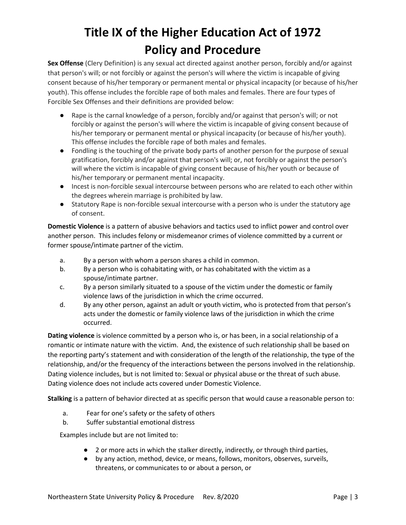**Sex Offense** (Clery Definition) is any sexual act directed against another person, forcibly and/or against that person's will; or not forcibly or against the person's will where the victim is incapable of giving consent because of his/her temporary or permanent mental or physical incapacity (or because of his/her youth). This offense includes the forcible rape of both males and females. There are four types of Forcible Sex Offenses and their definitions are provided below:

- Rape is the carnal knowledge of a person, forcibly and/or against that person's will; or not forcibly or against the person's will where the victim is incapable of giving consent because of his/her temporary or permanent mental or physical incapacity (or because of his/her youth). This offense includes the forcible rape of both males and females.
- Fondling is the touching of the private body parts of another person for the purpose of sexual gratification, forcibly and/or against that person's will; or, not forcibly or against the person's will where the victim is incapable of giving consent because of his/her youth or because of his/her temporary or permanent mental incapacity.
- Incest is non-forcible sexual intercourse between persons who are related to each other within the degrees wherein marriage is prohibited by law.
- Statutory Rape is non-forcible sexual intercourse with a person who is under the statutory age of consent.

**Domestic Violence** is a pattern of abusive behaviors and tactics used to inflict power and control over another person. This includes felony or misdemeanor crimes of violence committed by a current or former spouse/intimate partner of the victim.

- a. By a person with whom a person shares a child in common.
- b. By a person who is cohabitating with, or has cohabitated with the victim as a spouse/intimate partner.
- c. By a person similarly situated to a spouse of the victim under the domestic or family violence laws of the jurisdiction in which the crime occurred.
- d. By any other person, against an adult or youth victim, who is protected from that person's acts under the domestic or family violence laws of the jurisdiction in which the crime occurred.

**Dating violence** is violence committed by a person who is, or has been, in a social relationship of a romantic or intimate nature with the victim. And, the existence of such relationship shall be based on the reporting party's statement and with consideration of the length of the relationship, the type of the relationship, and/or the frequency of the interactions between the persons involved in the relationship. Dating violence includes, but is not limited to: Sexual or physical abuse or the threat of such abuse. Dating violence does not include acts covered under Domestic Violence.

**Stalking** is a pattern of behavior directed at as specific person that would cause a reasonable person to:

- a. Fear for one's safety or the safety of others
- b. Suffer substantial emotional distress

Examples include but are not limited to:

- 2 or more acts in which the stalker directly, indirectly, or through third parties,
- by any action, method, device, or means, follows, monitors, observes, surveils, threatens, or communicates to or about a person, or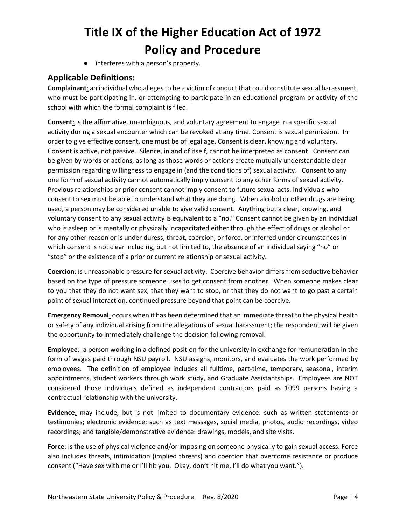● interferes with a person's property.

### **Applicable Definitions:**

**Complainant**: an individual who alleges to be a victim of conduct that could constitute sexual harassment, who must be participating in, or attempting to participate in an educational program or activity of the school with which the formal complaint is filed.

**Consent**: is the affirmative, unambiguous, and voluntary agreement to engage in a specific sexual activity during a sexual encounter which can be revoked at any time. Consent is sexual permission. In order to give effective consent, one must be of legal age. Consent is clear, knowing and voluntary. Consent is active, not passive. Silence, in and of itself, cannot be interpreted as consent. Consent can be given by words or actions, as long as those words or actions create mutually understandable clear permission regarding willingness to engage in (and the conditions of) sexual activity. Consent to any one form of sexual activity cannot automatically imply consent to any other forms of sexual activity. Previous relationships or prior consent cannot imply consent to future sexual acts. Individuals who consent to sex must be able to understand what they are doing. When alcohol or other drugs are being used, a person may be considered unable to give valid consent. Anything but a clear, knowing, and voluntary consent to any sexual activity is equivalent to a "no." Consent cannot be given by an individual who is asleep or is mentally or physically incapacitated either through the effect of drugs or alcohol or for any other reason or is under duress, threat, coercion, or force, or inferred under circumstances in which consent is not clear including, but not limited to, the absence of an individual saying "no" or "stop" or the existence of a prior or current relationship or sexual activity.

**Coercion**: is unreasonable pressure for sexual activity. Coercive behavior differs from seductive behavior based on the type of pressure someone uses to get consent from another. When someone makes clear to you that they do not want sex, that they want to stop, or that they do not want to go past a certain point of sexual interaction, continued pressure beyond that point can be coercive.

**Emergency Removal**: occurs when it has been determined that an immediate threat to the physical health or safety of any individual arising from the allegations of sexual harassment; the respondent will be given the opportunity to immediately challenge the decision following removal.

**Employee**: a person working in a defined position for the university in exchange for remuneration in the form of wages paid through NSU payroll. NSU assigns, monitors, and evaluates the work performed by employees. The definition of employee includes all fulltime, part-time, temporary, seasonal, interim appointments, student workers through work study, and Graduate Assistantships. Employees are NOT considered those individuals defined as independent contractors paid as 1099 persons having a contractual relationship with the university.

**Evidence**: may include, but is not limited to documentary evidence: such as written statements or testimonies; electronic evidence: such as text messages, social media, photos, audio recordings, video recordings; and tangible/demonstrative evidence: drawings, models, and site visits.

**Force**: is the use of physical violence and/or imposing on someone physically to gain sexual access. Force also includes threats, intimidation (implied threats) and coercion that overcome resistance or produce consent ("Have sex with me or I'll hit you. Okay, don't hit me, I'll do what you want.").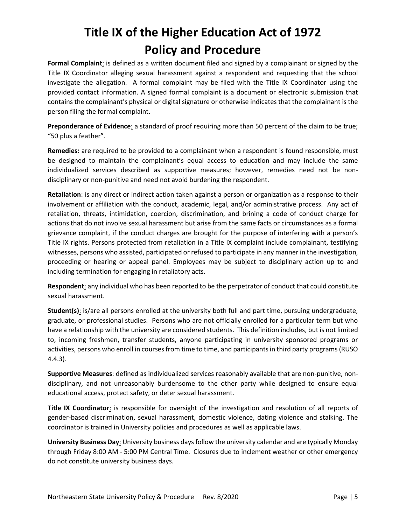**Formal Complaint**: is defined as a written document filed and signed by a complainant or signed by the Title IX Coordinator alleging sexual harassment against a respondent and requesting that the school investigate the allegation. A formal complaint may be filed with the Title IX Coordinator using the provided contact information. A signed formal complaint is a document or electronic submission that contains the complainant's physical or digital signature or otherwise indicates that the complainant is the person filing the formal complaint.

**Preponderance of Evidence**: a standard of proof requiring more than 50 percent of the claim to be true; "50 plus a feather".

**Remedies:** are required to be provided to a complainant when a respondent is found responsible, must be designed to maintain the complainant's equal access to education and may include the same individualized services described as supportive measures; however, remedies need not be nondisciplinary or non-punitive and need not avoid burdening the respondent.

**Retaliation**: is any direct or indirect action taken against a person or organization as a response to their involvement or affiliation with the conduct, academic, legal, and/or administrative process. Any act of retaliation, threats, intimidation, coercion, discrimination, and brining a code of conduct charge for actions that do not involve sexual harassment but arise from the same facts or circumstances as a formal grievance complaint, if the conduct charges are brought for the purpose of interfering with a person's Title IX rights. Persons protected from retaliation in a Title IX complaint include complainant, testifying witnesses, persons who assisted, participated or refused to participate in any manner in the investigation, proceeding or hearing or appeal panel. Employees may be subject to disciplinary action up to and including termination for engaging in retaliatory acts.

**Respondent**: any individual who has been reported to be the perpetrator of conduct that could constitute sexual harassment.

**Student(s)**: is/are all persons enrolled at the university both full and part time, pursuing undergraduate, graduate, or professional studies. Persons who are not officially enrolled for a particular term but who have a relationship with the university are considered students. This definition includes, but is not limited to, incoming freshmen, transfer students, anyone participating in university sponsored programs or activities, persons who enroll in courses from time to time, and participants in third party programs (RUSO 4.4.3).

**Supportive Measures**: defined as individualized services reasonably available that are non-punitive, nondisciplinary, and not unreasonably burdensome to the other party while designed to ensure equal educational access, protect safety, or deter sexual harassment.

**Title IX Coordinator**: is responsible for oversight of the investigation and resolution of all reports of gender-based discrimination, sexual harassment, domestic violence, dating violence and stalking. The coordinator is trained in University policies and procedures as well as applicable laws.

**University Business Day**: University business days follow the university calendar and are typically Monday through Friday 8:00 AM - 5:00 PM Central Time. Closures due to inclement weather or other emergency do not constitute university business days.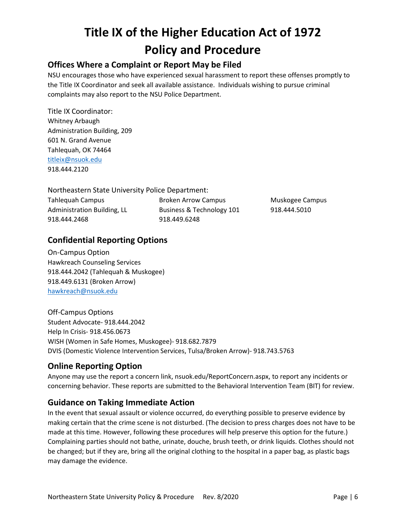### **Offices Where a Complaint or Report May be Filed**

NSU encourages those who have experienced sexual harassment to report these offenses promptly to the Title IX Coordinator and seek all available assistance. Individuals wishing to pursue criminal complaints may also report to the NSU Police Department.

Title IX Coordinator: Whitney Arbaugh Administration Building, 209 601 N. Grand Avenue Tahlequah, OK 74464 [titleix@nsuok.edu](mailto:titleix@nsuok.edu) 918.444.2120

Northeastern State University Police Department:

Tahlequah Campus Administration Building, LL 918.444.2468

Broken Arrow Campus Business & Technology 101 918.449.6248

Muskogee Campus 918.444.5010

### **Confidential Reporting Options**

On-Campus Option Hawkreach Counseling Services 918.444.2042 (Tahlequah & Muskogee) 918.449.6131 (Broken Arrow) [hawkreach@nsuok.edu](mailto:hawkreach@nsuok.edu)

Off-Campus Options Student Advocate- 918.444.2042 Help In Crisis- 918.456.0673 WISH (Women in Safe Homes, Muskogee)- 918.682.7879 DVIS (Domestic Violence Intervention Services, Tulsa/Broken Arrow)- 918.743.5763

### **Online Reporting Option**

Anyone may use the report a concern link, nsuok.edu/ReportConcern.aspx, to report any incidents or concerning behavior. These reports are submitted to the Behavioral Intervention Team (BIT) for review.

### **Guidance on Taking Immediate Action**

In the event that sexual assault or violence occurred, do everything possible to preserve evidence by making certain that the crime scene is not disturbed. (The decision to press charges does not have to be made at this time. However, following these procedures will help preserve this option for the future.) Complaining parties should not bathe, urinate, douche, brush teeth, or drink liquids. Clothes should not be changed; but if they are, bring all the original clothing to the hospital in a paper bag, as plastic bags may damage the evidence.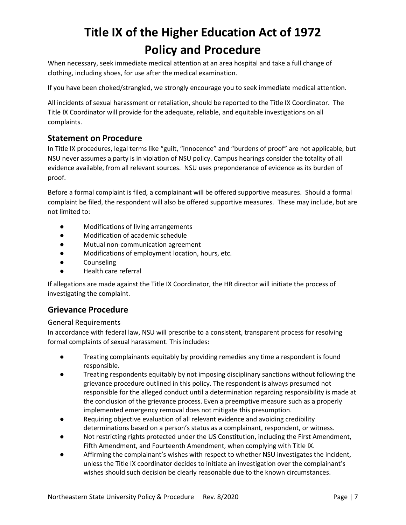When necessary, seek immediate medical attention at an area hospital and take a full change of clothing, including shoes, for use after the medical examination.

If you have been choked/strangled, we strongly encourage you to seek immediate medical attention.

All incidents of sexual harassment or retaliation, should be reported to the Title IX Coordinator. The Title IX Coordinator will provide for the adequate, reliable, and equitable investigations on all complaints.

### **Statement on Procedure**

In Title IX procedures, legal terms like "guilt, "innocence" and "burdens of proof" are not applicable, but NSU never assumes a party is in violation of NSU policy. Campus hearings consider the totality of all evidence available, from all relevant sources. NSU uses preponderance of evidence as its burden of proof.

Before a formal complaint is filed, a complainant will be offered supportive measures. Should a formal complaint be filed, the respondent will also be offered supportive measures. These may include, but are not limited to:

- Modifications of living arrangements
- Modification of academic schedule
- Mutual non-communication agreement
- Modifications of employment location, hours, etc.
- Counseling
- Health care referral

If allegations are made against the Title IX Coordinator, the HR director will initiate the process of investigating the complaint.

### **Grievance Procedure**

#### General Requirements

In accordance with federal law, NSU will prescribe to a consistent, transparent process for resolving formal complaints of sexual harassment. This includes:

- Treating complainants equitably by providing remedies any time a respondent is found responsible.
- Treating respondents equitably by not imposing disciplinary sanctions without following the grievance procedure outlined in this policy. The respondent is always presumed not responsible for the alleged conduct until a determination regarding responsibility is made at the conclusion of the grievance process. Even a preemptive measure such as a properly implemented emergency removal does not mitigate this presumption.
- Requiring objective evaluation of all relevant evidence and avoiding credibility determinations based on a person's status as a complainant, respondent, or witness.
- Not restricting rights protected under the US Constitution, including the First Amendment, Fifth Amendment, and Fourteenth Amendment, when complying with Title IX.
- Affirming the complainant's wishes with respect to whether NSU investigates the incident, unless the Title IX coordinator decides to initiate an investigation over the complainant's wishes should such decision be clearly reasonable due to the known circumstances.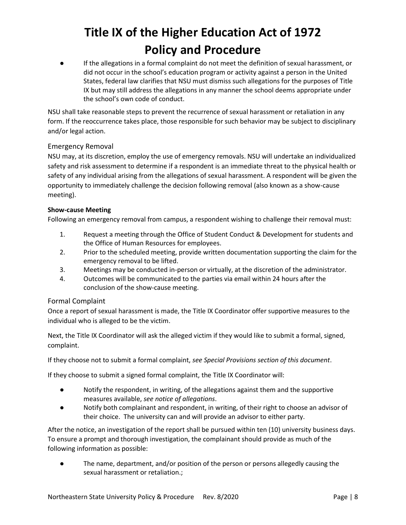If the allegations in a formal complaint do not meet the definition of sexual harassment, or did not occur in the school's education program or activity against a person in the United States, federal law clarifies that NSU must dismiss such allegations for the purposes of Title IX but may still address the allegations in any manner the school deems appropriate under the school's own code of conduct.

NSU shall take reasonable steps to prevent the recurrence of sexual harassment or retaliation in any form. If the reoccurrence takes place, those responsible for such behavior may be subject to disciplinary and/or legal action.

#### Emergency Removal

NSU may, at its discretion, employ the use of emergency removals. NSU will undertake an individualized safety and risk assessment to determine if a respondent is an immediate threat to the physical health or safety of any individual arising from the allegations of sexual harassment. A respondent will be given the opportunity to immediately challenge the decision following removal (also known as a show-cause meeting).

#### **Show-cause Meeting**

Following an emergency removal from campus, a respondent wishing to challenge their removal must:

- 1. Request a meeting through the Office of Student Conduct & Development for students and the Office of Human Resources for employees.
- 2. Prior to the scheduled meeting, provide written documentation supporting the claim for the emergency removal to be lifted.
- 3. Meetings may be conducted in-person or virtually, at the discretion of the administrator.
- 4. Outcomes will be communicated to the parties via email within 24 hours after the conclusion of the show-cause meeting.

#### Formal Complaint

Once a report of sexual harassment is made, the Title IX Coordinator offer supportive measures to the individual who is alleged to be the victim.

Next, the Title IX Coordinator will ask the alleged victim if they would like to submit a formal, signed, complaint.

If they choose not to submit a formal complaint, *see Special Provisions section of this document*.

If they choose to submit a signed formal complaint, the Title IX Coordinator will:

- Notify the respondent, in writing, of the allegations against them and the supportive measures available, *see notice of allegations*.
- Notify both complainant and respondent, in writing, of their right to choose an advisor of their choice. The university can and will provide an advisor to either party.

After the notice, an investigation of the report shall be pursued within ten (10) university business days. To ensure a prompt and thorough investigation, the complainant should provide as much of the following information as possible:

● The name, department, and/or position of the person or persons allegedly causing the sexual harassment or retaliation.;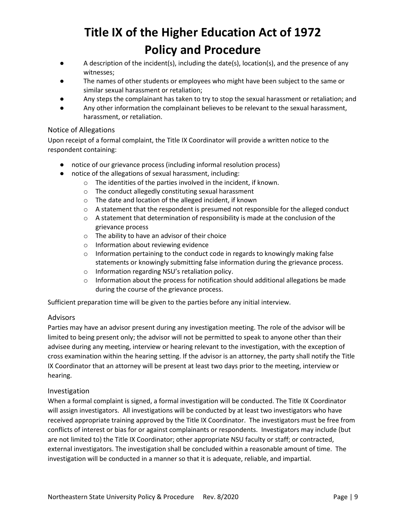- A description of the incident(s), including the date(s), location(s), and the presence of any witnesses;
- The names of other students or employees who might have been subject to the same or similar sexual harassment or retaliation;
- Any steps the complainant has taken to try to stop the sexual harassment or retaliation; and
- Any other information the complainant believes to be relevant to the sexual harassment, harassment, or retaliation.

#### Notice of Allegations

Upon receipt of a formal complaint, the Title IX Coordinator will provide a written notice to the respondent containing:

- notice of our grievance process (including informal resolution process)
- notice of the allegations of sexual harassment, including:
	- o The identities of the parties involved in the incident, if known.
	- o The conduct allegedly constituting sexual harassment
	- o The date and location of the alleged incident, if known
	- $\circ$  A statement that the respondent is presumed not responsible for the alleged conduct
	- $\circ$  A statement that determination of responsibility is made at the conclusion of the grievance process
	- o The ability to have an advisor of their choice
	- o Information about reviewing evidence
	- $\circ$  Information pertaining to the conduct code in regards to knowingly making false statements or knowingly submitting false information during the grievance process.
	- o Information regarding NSU's retaliation policy.
	- o Information about the process for notification should additional allegations be made during the course of the grievance process.

Sufficient preparation time will be given to the parties before any initial interview.

#### Advisors

Parties may have an advisor present during any investigation meeting. The role of the advisor will be limited to being present only; the advisor will not be permitted to speak to anyone other than their advisee during any meeting, interview or hearing relevant to the investigation, with the exception of cross examination within the hearing setting. If the advisor is an attorney, the party shall notify the Title IX Coordinator that an attorney will be present at least two days prior to the meeting, interview or hearing.

#### Investigation

When a formal complaint is signed, a formal investigation will be conducted. The Title IX Coordinator will assign investigators. All investigations will be conducted by at least two investigators who have received appropriate training approved by the Title IX Coordinator. The investigators must be free from conflicts of interest or bias for or against complainants or respondents. Investigators may include (but are not limited to) the Title IX Coordinator; other appropriate NSU faculty or staff; or contracted, external investigators. The investigation shall be concluded within a reasonable amount of time. The investigation will be conducted in a manner so that it is adequate, reliable, and impartial.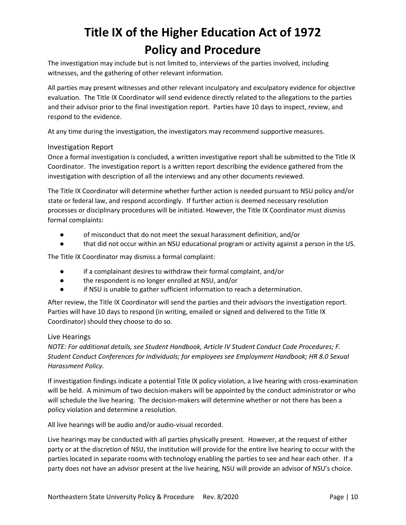The investigation may include but is not limited to, interviews of the parties involved, including witnesses, and the gathering of other relevant information.

All parties may present witnesses and other relevant inculpatory and exculpatory evidence for objective evaluation. The Title IX Coordinator will send evidence directly related to the allegations to the parties and their advisor prior to the final investigation report. Parties have 10 days to inspect, review, and respond to the evidence.

At any time during the investigation, the investigators may recommend supportive measures.

#### Investigation Report

Once a formal investigation is concluded, a written investigative report shall be submitted to the Title IX Coordinator. The investigation report is a written report describing the evidence gathered from the investigation with description of all the interviews and any other documents reviewed.

The Title IX Coordinator will determine whether further action is needed pursuant to NSU policy and/or state or federal law, and respond accordingly. If further action is deemed necessary resolution processes or disciplinary procedures will be initiated. However, the Title IX Coordinator must dismiss formal complaints:

- of misconduct that do not meet the sexual harassment definition, and/or
- that did not occur within an NSU educational program or activity against a person in the US.

The Title IX Coordinator may dismiss a formal complaint:

- if a complainant desires to withdraw their formal complaint, and/or
- the respondent is no longer enrolled at NSU, and/or
- if NSU is unable to gather sufficient information to reach a determination.

After review, the Title IX Coordinator will send the parties and their advisors the investigation report. Parties will have 10 days to respond (in writing, emailed or signed and delivered to the Title IX Coordinator) should they choose to do so.

#### Live Hearings

*NOTE: For additional details, see Student Handbook, Article IV Student Conduct Code Procedures; F. Student Conduct Conferences for Individuals; for employees see Employment Handbook; HR 8.0 Sexual Harassment Policy.*

If investigation findings indicate a potential Title IX policy violation, a live hearing with cross-examination will be held. A minimum of two decision-makers will be appointed by the conduct administrator or who will schedule the live hearing. The decision-makers will determine whether or not there has been a policy violation and determine a resolution.

All live hearings will be audio and/or audio-visual recorded.

Live hearings may be conducted with all parties physically present. However, at the request of either party or at the discretion of NSU, the institution will provide for the entire live hearing to occur with the parties located in separate rooms with technology enabling the parties to see and hear each other. If a party does not have an advisor present at the live hearing, NSU will provide an advisor of NSU's choice.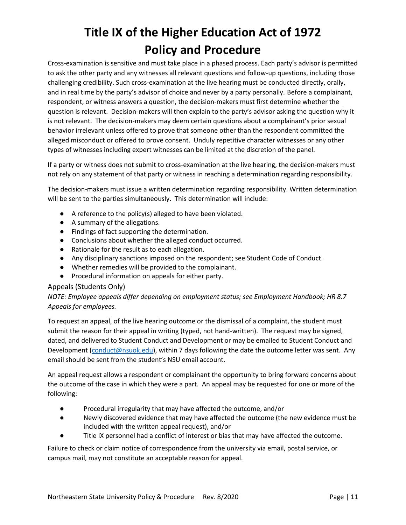Cross-examination is sensitive and must take place in a phased process. Each party's advisor is permitted to ask the other party and any witnesses all relevant questions and follow-up questions, including those challenging credibility. Such cross-examination at the live hearing must be conducted directly, orally, and in real time by the party's advisor of choice and never by a party personally. Before a complainant, respondent, or witness answers a question, the decision-makers must first determine whether the question is relevant. Decision-makers will then explain to the party's advisor asking the question why it is not relevant. The decision-makers may deem certain questions about a complainant's prior sexual behavior irrelevant unless offered to prove that someone other than the respondent committed the alleged misconduct or offered to prove consent. Unduly repetitive character witnesses or any other types of witnesses including expert witnesses can be limited at the discretion of the panel.

If a party or witness does not submit to cross-examination at the live hearing, the decision-makers must not rely on any statement of that party or witness in reaching a determination regarding responsibility.

The decision-makers must issue a written determination regarding responsibility. Written determination will be sent to the parties simultaneously. This determination will include:

- A reference to the policy(s) alleged to have been violated.
- A summary of the allegations.
- Findings of fact supporting the determination.
- Conclusions about whether the alleged conduct occurred.
- Rationale for the result as to each allegation.
- Any disciplinary sanctions imposed on the respondent; see Student Code of Conduct.
- Whether remedies will be provided to the complainant.
- Procedural information on appeals for either party.

#### Appeals (Students Only)

#### *NOTE: Employee appeals differ depending on employment status; see Employment Handbook; HR 8.7 Appeals for employees.*

To request an appeal, of the live hearing outcome or the dismissal of a complaint, the student must submit the reason for their appeal in writing (typed, not hand-written). The request may be signed, dated, and delivered to Student Conduct and Development or may be emailed to Student Conduct and Development [\(conduct@nsuok.edu\)](mailto:conduct@nsuok.edu), within 7 days following the date the outcome letter was sent. Any email should be sent from the student's NSU email account.

An appeal request allows a respondent or complainant the opportunity to bring forward concerns about the outcome of the case in which they were a part. An appeal may be requested for one or more of the following:

- Procedural irregularity that may have affected the outcome, and/or
- Newly discovered evidence that may have affected the outcome (the new evidence must be included with the written appeal request), and/or
- Title IX personnel had a conflict of interest or bias that may have affected the outcome.

Failure to check or claim notice of correspondence from the university via email, postal service, or campus mail, may not constitute an acceptable reason for appeal.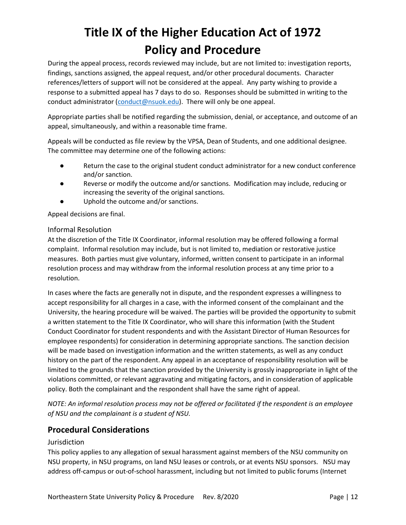During the appeal process, records reviewed may include, but are not limited to: investigation reports, findings, sanctions assigned, the appeal request, and/or other procedural documents. Character references/letters of support will not be considered at the appeal. Any party wishing to provide a response to a submitted appeal has 7 days to do so. Responses should be submitted in writing to the conduct administrator [\(conduct@nsuok.edu\)](mailto:conduct@nsuok.edu). There will only be one appeal.

Appropriate parties shall be notified regarding the submission, denial, or acceptance, and outcome of an appeal, simultaneously, and within a reasonable time frame.

Appeals will be conducted as file review by the VPSA, Dean of Students, and one additional designee. The committee may determine one of the following actions:

- Return the case to the original student conduct administrator for a new conduct conference and/or sanction.
- Reverse or modify the outcome and/or sanctions. Modification may include, reducing or increasing the severity of the original sanctions.
- Uphold the outcome and/or sanctions.

Appeal decisions are final.

#### Informal Resolution

At the discretion of the Title IX Coordinator, informal resolution may be offered following a formal complaint. Informal resolution may include, but is not limited to, mediation or restorative justice measures. Both parties must give voluntary, informed, written consent to participate in an informal resolution process and may withdraw from the informal resolution process at any time prior to a resolution.

In cases where the facts are generally not in dispute, and the respondent expresses a willingness to accept responsibility for all charges in a case, with the informed consent of the complainant and the University, the hearing procedure will be waived. The parties will be provided the opportunity to submit a written statement to the Title IX Coordinator, who will share this information (with the Student Conduct Coordinator for student respondents and with the Assistant Director of Human Resources for employee respondents) for consideration in determining appropriate sanctions. The sanction decision will be made based on investigation information and the written statements, as well as any conduct history on the part of the respondent. Any appeal in an acceptance of responsibility resolution will be limited to the grounds that the sanction provided by the University is grossly inappropriate in light of the violations committed, or relevant aggravating and mitigating factors, and in consideration of applicable policy. Both the complainant and the respondent shall have the same right of appeal.

*NOTE: An informal resolution process may not be offered or facilitated if the respondent is an employee of NSU and the complainant is a student of NSU.*

### **Procedural Considerations**

### Jurisdiction

This policy applies to any allegation of sexual harassment against members of the NSU community on NSU property, in NSU programs, on land NSU leases or controls, or at events NSU sponsors. NSU may address off-campus or out-of-school harassment, including but not limited to public forums (Internet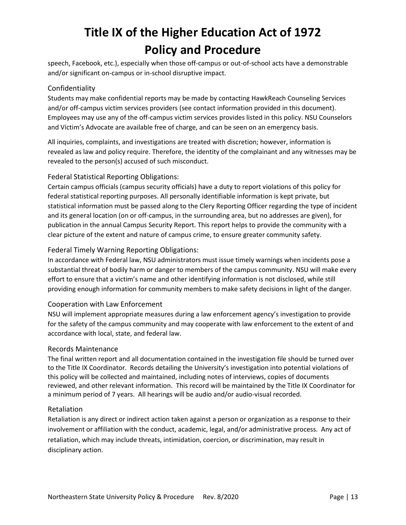speech, Facebook, etc.), especially when those off-campus or out-of-school acts have a demonstrable and/or significant on-campus or in-school disruptive impact.

#### Confidentiality

Students may make confidential reports may be made by contacting HawkReach Counseling Services and/or off-campus victim services providers (see contact information provided in this document). Employees may use any of the off-campus victim services provides listed in this policy. NSU Counselors and Victim's Advocate are available free of charge, and can be seen on an emergency basis.

All inquiries, complaints, and investigations are treated with discretion; however, information is revealed as law and policy require. Therefore, the identity of the complainant and any witnesses may be revealed to the person(s) accused of such misconduct.

#### Federal Statistical Reporting Obligations:

Certain campus officials (campus security officials) have a duty to report violations of this policy for federal statistical reporting purposes. All personally identifiable information is kept private, but statistical information must be passed along to the Clery Reporting Officer regarding the type of incident and its general location (on or off-campus, in the surrounding area, but no addresses are given), for publication in the annual Campus Security Report. This report helps to provide the community with a clear picture of the extent and nature of campus crime, to ensure greater community safety.

#### Federal Timely Warning Reporting Obligations:

In accordance with Federal law, NSU administrators must issue timely warnings when incidents pose a substantial threat of bodily harm or danger to members of the campus community. NSU will make every effort to ensure that a victim's name and other identifying information is not disclosed, while still providing enough information for community members to make safety decisions in light of the danger.

#### Cooperation with Law Enforcement

NSU will implement appropriate measures during a law enforcement agency's investigation to provide for the safety of the campus community and may cooperate with law enforcement to the extent of and accordance with local, state, and federal law.

#### Records Maintenance

The final written report and all documentation contained in the investigation file should be turned over to the Title IX Coordinator. Records detailing the University's investigation into potential violations of this policy will be collected and maintained, including notes of interviews, copies of documents reviewed, and other relevant information. This record will be maintained by the Title IX Coordinator for a minimum period of 7 years. All hearings will be audio and/or audio-visual recorded.

#### Retaliation

Retaliation is any direct or indirect action taken against a person or organization as a response to their involvement or affiliation with the conduct, academic, legal, and/or administrative process. Any act of retaliation, which may include threats, intimidation, coercion, or discrimination, may result in disciplinary action.